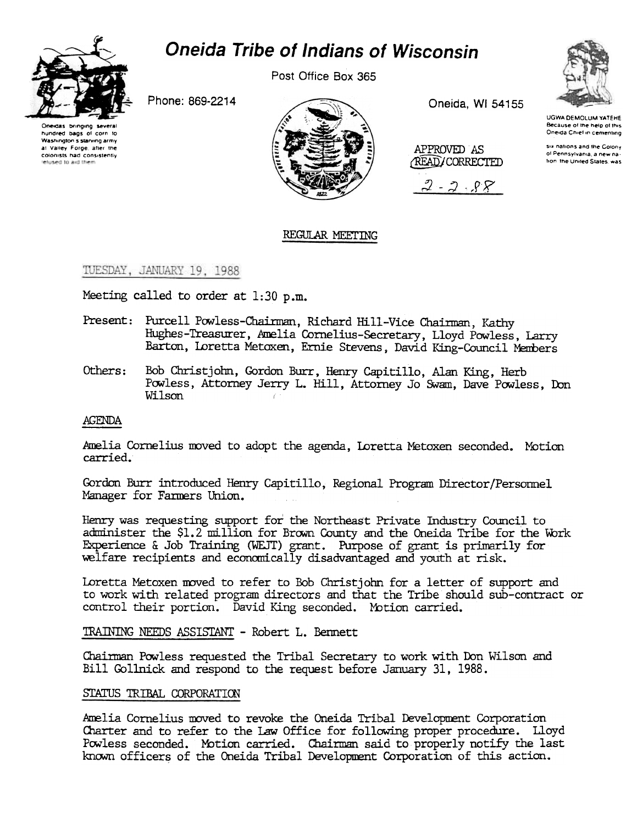

# **Oneida Tribe of Indians of Wisconsin**

Post Office Box 365

Phone: 869-2214





Oneida, WI 54155

APPROVED AS

**READ/CORRECTED** 

 $2 - 2 - 88$ 



**UGWA DEMOLUM YATEHE** Because of the help of this Oneida Chief in cementing

six nations and the Colony of Pennsylvania, a new nation the United States, was

# REGULAR MEETING

TUESDAY, JANUARY 19, 1988

Meeting called to order at 1:30 p.m.

- Present: Purcell Powless-Chairman, Richard Hill-Vice Chairman, Kathy Hughes-Treasurer, Amelia Cornelius-Secretary, Lloyd Powless, Larry Barton, Loretta Metoxen, Ernie Stevens, David King-Council Members
- Others: Bob Christjohn, Gordon Burr, Henry Capitillo, Alan King, Herb Powless, Attorney Jerry L. Hill, Attorney Jo Swam, Dave Powless, Don Wilson

## **AGENDA**

Amelia Cornelius moved to adopt the agenda, Loretta Metoxen seconded. Motion carried.

Gordon Burr introduced Henry Capitillo, Regional Program Director/Personnel Manager for Farmers Union.

Henry was requesting support for the Northeast Private Industry Council to administer the \$1.2 million for Brown County and the Oneida Tribe for the Work Experience & Job Training (WEJT) grant. Purpose of grant is primarily for welfare recipients and economically disadvantaged and youth at risk.

Loretta Metoxen moved to refer to Bob Christjohn for a letter of support and to work with related program directors and that the Tribe should sub-contract or control their portion. David King seconded. Motion carried.

TRAINING NEEDS ASSISTANT - Robert L. Bennett

Chairman Powless requested the Tribal Secretary to work with Don Wilson and Bill Gollnick and respond to the request before January 31, 1988.

## STATUS TRIBAL CORPORATION

Amelia Cornelius moved to revoke the Oneida Tribal Development Corporation Charter and to refer to the Law Office for following proper procedure. Lloyd Powless seconded. Motion carried. Chairman said to properly notify the last known officers of the Oneida Tribal Development Corporation of this action.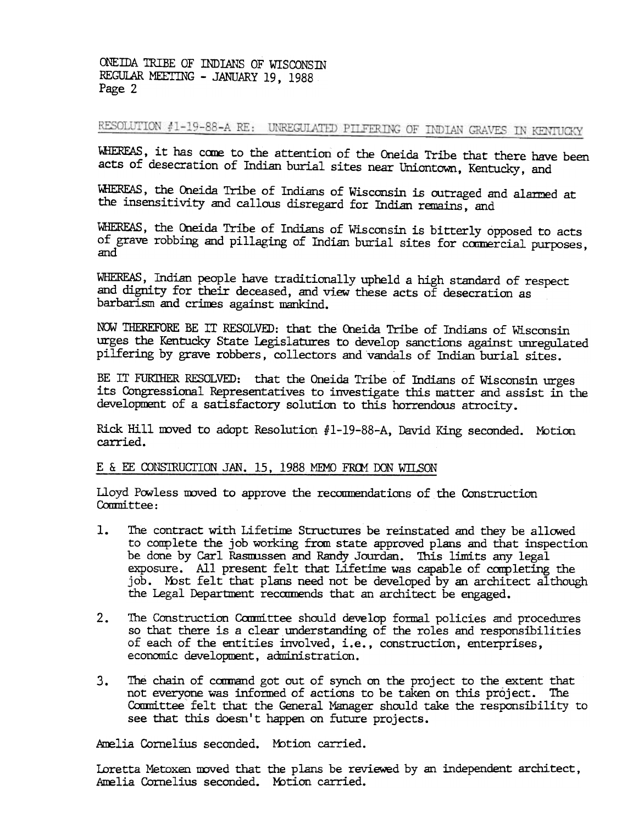ONEIDA TRIBE OF INDIANS OF WISCONSIN REGULAR MEETING - JANUARY 19, 1988 Page 2

RESOLUTION #1-19-88-A RE: UNREGULATED PILFERING OF INDIAN GRAVES IN KENTUCKY

WHEREAS, it has come to the attention of the Oneida Tribe that there have been acts of desecration of Indian burial sites near Uniontown, Kentucky, and

WHEREAS, the Oneida Tribe of Indians of Wisconsin is outraged and alarmed at the insensitivity and callous disregard for Indian remains, and

WHEREAS, the Oneida Tribe of Indians of Wisconsin is bitterly opposed to acts of grave robbing and pillaging of Indian burial sites for connercial purposes, and

WHEREAS, Indian people have traditionally upheld a high standard of respect and dignity for their deceased, and view these acts of desecration as barbarism and crimes against mankind.

NOW THEREFORE BE IT RESOLVED: that the Oneida Tribe of Indians of Wisconsin urges the Kentucky State legislatures to develop sanctions against unregulated pilfering by grave robbers, collectors and vandals of Indian burial sites.

BE IT FURTHER RESOLVED: that the Oneida Tribe of Indians of Wisconsin urges its Congressional Representatives to investigate this matter and assist in the development of a satisfactory solution to this horrendous atrocity.

Rick Hill moved to adopt Resolution #1-19-88-A, David King seconded. Motion carried.

## E & EE CONSTRUCTION JAN. 15, 1988 MEMO FROM DON WILSON

Lloyd Powless moved to approve the recommendations of the Construction Committee:

- $\mathbf{1}$ . The contract with Lifetime Structures be reinstated and they be allowed. to complete the job working from state approved plans and that inspection be done by Carl Rasmussen and Randy Jourdan. This limits any legal exposure. All present felt that Lifetime was capable of completing the job. Most felt that plans need not be developed by an architect although the Legal Department recommends that an architect be engaged.
- $2.$ The Construction Committee should develop formal policies and procedures so that there is a clear understanding of the roles and responsibilities of eadh of the entities inVolved, i.e., construction, enterprises, economic development, administration.
- 3. The chain of command got out of synch on the project to the extent that not everyone was informed of actions to be taken on this project. The Committee felt that the General Manager should take the responsibility see th not everyone was informed of actions to be taken on this project. The Committee felt that the General Manager should take the responsibility to see that this doesn't happen on future projects.

Amelia Cornelius seconded. Motion carried.

Ioretta Metoxen moved that the plans be reviewed by an independent architect, Amelia Cornelius seconded. Motion carried.